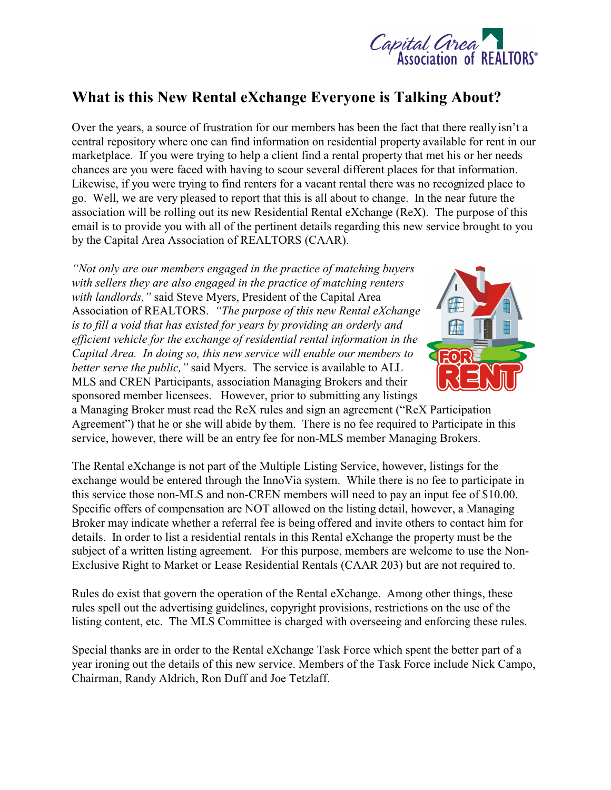

## **What is this New Rental eXchange Everyone is Talking About?**

Over the years, a source of frustration for our members has been the fact that there really isn't a central repository where one can find information on residential property available for rent in our marketplace. If you were trying to help a client find a rental property that met his or her needs chances are you were faced with having to scour several different places for that information. Likewise, if you were trying to find renters for a vacant rental there was no recognized place to go. Well, we are very pleased to report that this is all about to change. In the near future the association will be rolling out its new Residential Rental eXchange (ReX). The purpose of this email is to provide you with all of the pertinent details regarding this new service brought to you by the Capital Area Association of REALTORS (CAAR).

*"Not only are our members engaged in the practice of matching buyers with sellers they are also engaged in the practice of matching renters with landlords,"* said Steve Myers, President of the Capital Area Association of REALTORS. *"The purpose of this new Rental eXchange is to fill a void that has existed for years by providing an orderly and efficient vehicle for the exchange of residential rental information in the Capital Area. In doing so, this new service will enable our members to better serve the public,"* said Myers. The service is available to ALL MLS and CREN Participants, association Managing Brokers and their sponsored member licensees. However, prior to submitting any listings



a Managing Broker must read the ReX rules and sign an agreement ("ReX Participation Agreement") that he or she will abide by them. There is no fee required to Participate in this service, however, there will be an entry fee for non-MLS member Managing Brokers.

The Rental eXchange is not part of the Multiple Listing Service, however, listings for the exchange would be entered through the InnoVia system. While there is no fee to participate in this service those non-MLS and non-CREN members will need to pay an input fee of \$10.00. Specific offers of compensation are NOT allowed on the listing detail, however, a Managing Broker may indicate whether a referral fee is being offered and invite others to contact him for details. In order to list a residential rentals in this Rental eXchange the property must be the subject of a written listing agreement. For this purpose, members are welcome to use the Non-Exclusive Right to Market or Lease Residential Rentals (CAAR 203) but are not required to.

Rules do exist that govern the operation of the Rental eXchange. Among other things, these rules spell out the advertising guidelines, copyright provisions, restrictions on the use of the listing content, etc. The MLS Committee is charged with overseeing and enforcing these rules.

Special thanks are in order to the Rental eXchange Task Force which spent the better part of a year ironing out the details of this new service. Members of the Task Force include Nick Campo, Chairman, Randy Aldrich, Ron Duff and Joe Tetzlaff.